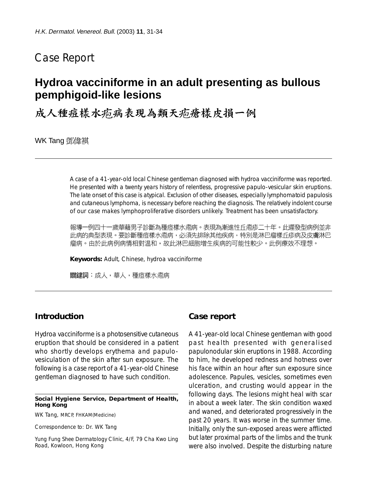# Case Report

# **Hydroa vacciniforme in an adult presenting as bullous pemphigoid-like lesions**

成人種痘樣水疱病表現為類天疱瘡樣皮損一例

WK Tang 鄧偉祺

A case of a 41-year-old local Chinese gentleman diagnosed with hydroa vacciniforme was reported. He presented with a twenty years history of relentless, progressive papulo-vesicular skin eruptions. The late onset of this case is atypical. Exclusion of other diseases, especially lymphomatoid papulosis and cutaneous lymphoma, is necessary before reaching the diagnosis. The relatively indolent course of our case makes lymphoproliferative disorders unlikely. Treatment has been unsatisfactory.

報導一例四十一歲華藉男子診斷為種痘樣水疱病。表現為漸進性丘疱疹二十年。此遲發型病例並非 此病的典型表現。要診斷種痘樣水疱病,必須先排除其他疾病,特別是淋巴瘤樣丘疹病及皮膚淋巴 瘤病。由於此病例病情相對温和,故此淋巴細胞增生疾病的可能性較少。此例療效不理想。

**Keywords:** Adult, Chinese, hydroa vacciniforme

關鍵詞:成人,華人,種痘樣水疱病

## **Introduction**

Hydroa vacciniforme is a photosensitive cutaneous eruption that should be considered in a patient who shortly develops erythema and papulovesiculation of the skin after sun exposure. The following is a case report of a 41-year-old Chinese gentleman diagnosed to have such condition.

#### **Social Hygiene Service, Department of Health, Hong Kong**

WK Tang, MRCP, FHKAM(Medicine)

Correspondence to: Dr. WK Tang

Yung Fung Shee Dermatology Clinic, 4/F, 79 Cha Kwo Ling Road, Kowloon, Hong Kong

### **Case report**

A 41-year-old local Chinese gentleman with good past health presented with generalised papulonodular skin eruptions in 1988. According to him, he developed redness and hotness over his face within an hour after sun exposure since adolescence. Papules, vesicles, sometimes even ulceration, and crusting would appear in the following days. The lesions might heal with scar in about a week later. The skin condition waxed and waned, and deteriorated progressively in the past 20 years. It was worse in the summer time. Initially, only the sun-exposed areas were afflicted but later proximal parts of the limbs and the trunk were also involved. Despite the disturbing nature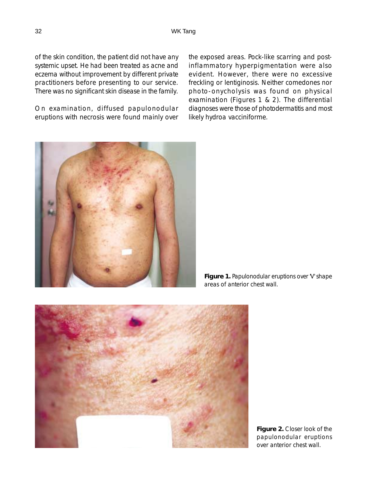of the skin condition, the patient did not have any systemic upset. He had been treated as acne and eczema without improvement by different private practitioners before presenting to our service. There was no significant skin disease in the family.

On examination, diffused papulonodular eruptions with necrosis were found mainly over the exposed areas. Pock-like scarring and postinflammatory hyperpigmentation were also evident. However, there were no excessive freckling or lentiginosis. Neither comedones nor photo-onycholysis was found on physical examination (Figures 1 & 2). The differential diagnoses were those of photodermatitis and most likely hydroa vacciniforme.



**Figure 1.** Papulonodular eruptions over 'V' shape areas of anterior chest wall.



**Figure 2.** Closer look of the papulonodular eruptions over anterior chest wall.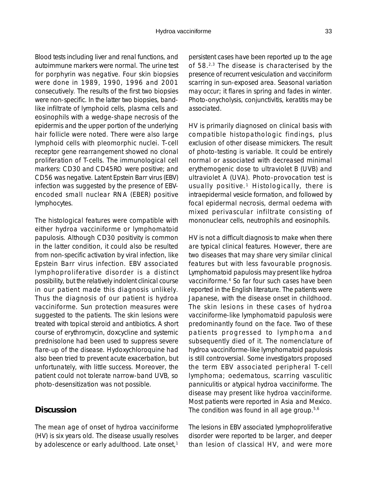Blood tests including liver and renal functions, and autoimmune markers were normal. The urine test for porphyrin was negative. Four skin biopsies were done in 1989, 1990, 1996 and 2001 consecutively. The results of the first two biopsies were non-specific. In the latter two biopsies, bandlike infiltrate of lymphoid cells, plasma cells and eosinophils with a wedge-shape necrosis of the epidermis and the upper portion of the underlying hair follicle were noted. There were also large lymphoid cells with pleomorphic nuclei. T-cell receptor gene rearrangement showed no clonal proliferation of T-cells. The immunological cell markers: CD30 and CD45RO were positive; and CD56 was negative. Latent Epstein Barr virus (EBV) infection was suggested by the presence of EBVencoded small nuclear RNA (EBER) positive lymphocytes.

The histological features were compatible with either hydroa vacciniforme or lymphomatoid papulosis. Although CD30 positivity is common in the latter condition, it could also be resulted from non-specific activation by viral infection, like Epstein Barr virus infection. EBV associated lymphoproliferative disorder is a distinct possibility, but the relatively indolent clinical course in our patient made this diagnosis unlikely. Thus the diagnosis of our patient is hydroa vacciniforme. Sun protection measures were suggested to the patients. The skin lesions were treated with topical steroid and antibiotics. A short course of erythromycin, doxcycline and systemic prednisolone had been used to suppress severe flare-up of the disease. Hydoxychloroquine had also been tried to prevent acute exacerbation, but unfortunately, with little success. Moreover, the patient could not tolerate narrow-band UVB, so photo-desensitization was not possible.

## **Discussion**

The mean age of onset of hydroa vacciniforme (HV) is six years old. The disease usually resolves by adolescence or early adulthood. Late onset,<sup>1</sup> persistent cases have been reported up to the age of 58.2,3 The disease is characterised by the presence of recurrent vesiculation and vacciniform scarring in sun-exposed area. Seasonal variation may occur; it flares in spring and fades in winter. Photo-onycholysis, conjunctivitis, keratitis may be associated.

HV is primarily diagnosed on clinical basis with compatible histopathologic findings, plus exclusion of other disease mimickers. The result of photo-testing is variable. It could be entirely normal or associated with decreased minimal erythemogenic dose to ultraviolet B (UVB) and ultraviolet A (UVA). Photo-provocation test is usually positive.<sup>1</sup> Histologically, there is intraepidermal vesicle formation, and followed by focal epidermal necrosis, dermal oedema with mixed perivascular infiltrate consisting of mononuclear cells, neutrophils and eosinophils.

HV is not a difficult diagnosis to make when there are typical clinical features. However, there are two diseases that may share very similar clinical features but with less favourable prognosis. Lymphomatoid papulosis may present like hydroa vacciniforme.4 So far four such cases have been reported in the English literature. The patients were Japanese, with the disease onset in childhood. The skin lesions in these cases of hydroa vacciniforme-like lymphomatoid papulosis were predominantly found on the face. Two of these patients progressed to lymphoma and subsequently died of it. The nomenclature of hydroa vacciniforme-like lymphomatoid papulosis is still controversial. Some investigators proposed the term EBV associated peripheral T-cell lymphoma; oedematous, scarring vasculitic panniculitis or atypical hydroa vacciniforme. The disease may present like hydroa vacciniforme. Most patients were reported in Asia and Mexico. The condition was found in all age group.<sup>5,6</sup>

The lesions in EBV associated lymphoproliferative disorder were reported to be larger, and deeper than lesion of classical HV, and were more